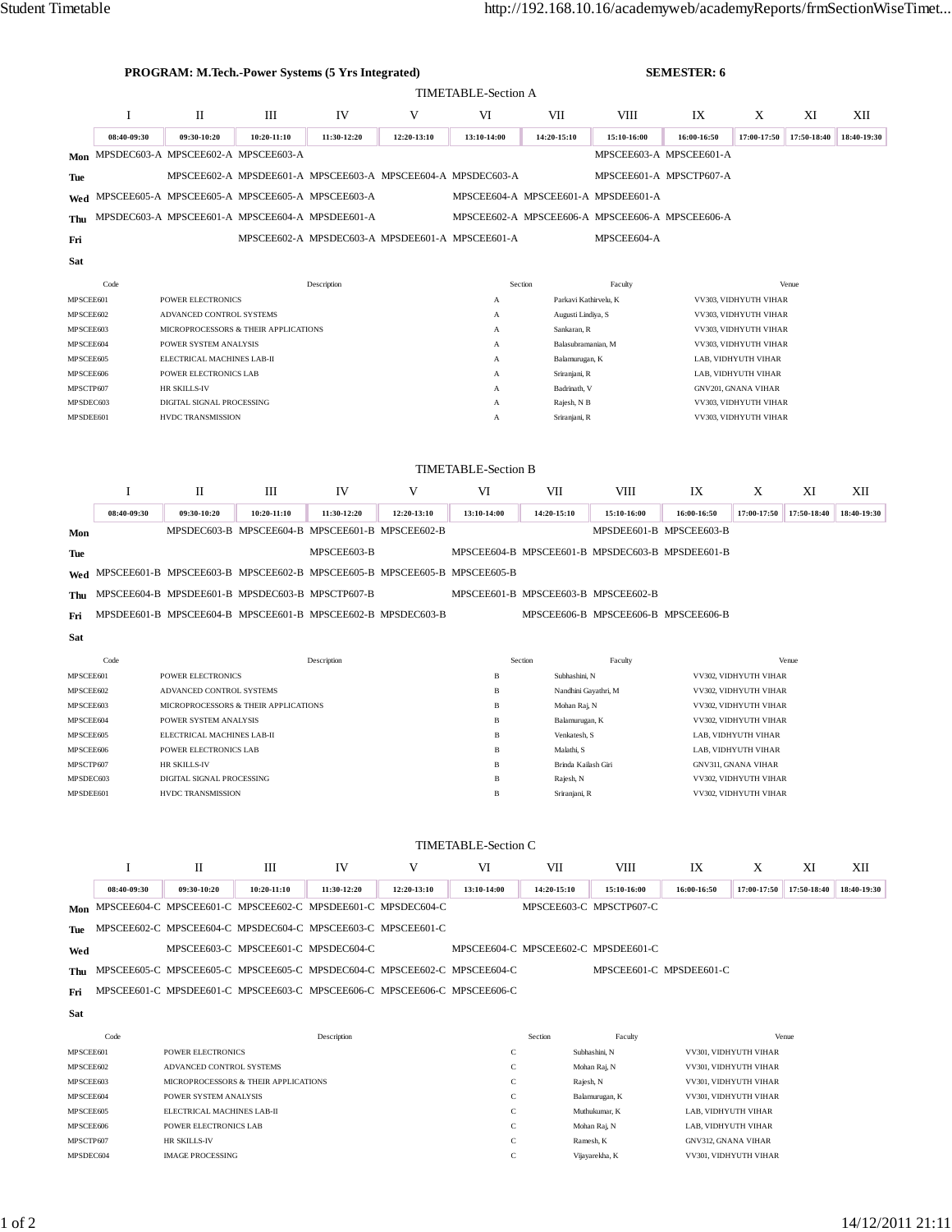|                        |             | <b>PROGRAM: M.Tech.-Power Systems (5 Yrs Integrated)</b>                |                                     | <b>SEMESTER: 6</b>                                          |             |                                             |                                                                             |                                                 |                                                |                       |             |             |  |  |
|------------------------|-------------|-------------------------------------------------------------------------|-------------------------------------|-------------------------------------------------------------|-------------|---------------------------------------------|-----------------------------------------------------------------------------|-------------------------------------------------|------------------------------------------------|-----------------------|-------------|-------------|--|--|
|                        |             |                                                                         |                                     |                                                             |             | <b>TIMETABLE-Section A</b>                  |                                                                             |                                                 |                                                |                       |             |             |  |  |
|                        | 1           | П                                                                       | Ш                                   | IV                                                          | V           | VI                                          | VII                                                                         | VШ                                              | IX                                             | X                     | XI          | XII         |  |  |
|                        | 08:40-09:30 | 09:30-10:20                                                             | 10:20-11:10                         | 11:30-12:20                                                 | 12:20-13:10 | 13:10-14:00                                 | 14:20-15:10                                                                 | 15:10-16:00                                     | 16:00-16:50                                    | 17:00-17:50           | 17:50-18:40 | 18:40-19:30 |  |  |
| Mon                    |             | MPSDEC603-A MPSCEE602-A MPSCEE603-A                                     |                                     |                                                             |             |                                             |                                                                             | MPSCEE603-A MPSCEE601-A                         |                                                |                       |             |             |  |  |
| Tue                    |             |                                                                         |                                     | MPSCEE602-A MPSDEE601-A MPSCEE603-A MPSCEE604-A MPSDEC603-A |             |                                             |                                                                             | MPSCEE601-A MPSCTP607-A                         |                                                |                       |             |             |  |  |
| Wed                    |             | MPSCEE605-A MPSCEE605-A MPSCEE605-A MPSCEE603-A                         |                                     |                                                             |             |                                             |                                                                             | MPSCEE604-A MPSCEE601-A MPSDEE601-A             |                                                |                       |             |             |  |  |
| Thu                    |             | MPSDEC603-A MPSCEE601-A MPSCEE604-A MPSDEE601-A                         |                                     |                                                             |             |                                             |                                                                             | MPSCEE602-A MPSCEE606-A MPSCEE606-A MPSCEE606-A |                                                |                       |             |             |  |  |
| Fri                    |             |                                                                         |                                     | MPSCEE602-A MPSDEC603-A MPSDEE601-A MPSCEE601-A             |             |                                             |                                                                             | MPSCEE604-A                                     |                                                |                       |             |             |  |  |
| Sat                    |             |                                                                         |                                     |                                                             |             |                                             |                                                                             |                                                 |                                                |                       |             |             |  |  |
| Venue<br>Section       |             |                                                                         |                                     |                                                             |             |                                             |                                                                             |                                                 |                                                |                       |             |             |  |  |
| MPSCEE601              | Code        | Description<br>POWER ELECTRONICS                                        |                                     |                                                             |             | А                                           | Parkavi Kathirvelu, K                                                       | Faculty                                         | VV303, VIDHYUTH VIHAR                          |                       |             |             |  |  |
| MPSCEE602              |             | ADVANCED CONTROL SYSTEMS                                                |                                     |                                                             |             | А                                           | Augusti Lindiya, S                                                          |                                                 | VV303, VIDHYUTH VIHAR                          |                       |             |             |  |  |
| MPSCEE603<br>MPSCEE604 |             | MICROPROCESSORS & THEIR APPLICATIONS<br>POWER SYSTEM ANALYSIS           |                                     |                                                             |             | A<br>Sankaran, R<br>Balasubramanian, M<br>А |                                                                             |                                                 | VV303, VIDHYUTH VIHAR<br>VV303, VIDHYUTH VIHAR |                       |             |             |  |  |
| MPSCEE605              |             | ELECTRICAL MACHINES LAB-II                                              |                                     |                                                             |             | А                                           | Balamurugan, K                                                              |                                                 | LAB, VIDHYUTH VIHAR                            |                       |             |             |  |  |
| MPSCEE606              |             | POWER ELECTRONICS LAB                                                   |                                     |                                                             |             | А                                           | Sriranjani, R                                                               |                                                 | LAB, VIDHYUTH VIHAR                            |                       |             |             |  |  |
| MPSCTP607<br>MPSDEC603 |             | HR SKILLS-IV<br>DIGITAL SIGNAL PROCESSING                               |                                     |                                                             |             | A<br>А                                      | Badrinath, V<br>Rajesh, N B                                                 |                                                 | GNV201, GNANA VIHAR<br>VV303, VIDHYUTH VIHAR   |                       |             |             |  |  |
| MPSDEE601              |             | HVDC TRANSMISSION                                                       |                                     |                                                             |             | А                                           | Sriranjani, R                                                               |                                                 | VV303, VIDHYUTH VIHAR                          |                       |             |             |  |  |
|                        |             |                                                                         |                                     |                                                             |             |                                             |                                                                             |                                                 |                                                |                       |             |             |  |  |
|                        |             |                                                                         |                                     |                                                             |             |                                             |                                                                             |                                                 |                                                |                       |             |             |  |  |
|                        |             |                                                                         |                                     |                                                             |             | <b>TIMETABLE-Section B</b>                  |                                                                             |                                                 |                                                |                       |             |             |  |  |
|                        | Ι           | П                                                                       | Ш                                   | IV                                                          | V           | VI                                          | VII                                                                         | VШ                                              | IX                                             | Χ                     | XI          | XII         |  |  |
|                        | 08:40-09:30 | 09:30-10:20                                                             | 10:20-11:10                         | 11:30-12:20                                                 | 12:20-13:10 | 13:10-14:00                                 | 14:20-15:10                                                                 | 15:10-16:00                                     | 16:00-16:50                                    | 17:00-17:50           | 17:50-18:40 | 18:40-19:30 |  |  |
| Mon                    |             |                                                                         |                                     | MPSDEC603-B MPSCEE604-B MPSCEE601-B MPSCEE602-B             |             |                                             |                                                                             | MPSDEE601-B MPSCEE603-B                         |                                                |                       |             |             |  |  |
| Tue                    |             |                                                                         |                                     | MPSCEE603-B                                                 |             |                                             |                                                                             | MPSCEE604-B MPSCEE601-B MPSDEC603-B MPSDEE601-B |                                                |                       |             |             |  |  |
| Wed                    |             | MPSCEE601-B MPSCEE603-B MPSCEE602-B MPSCEE605-B MPSCEE605-B MPSCEE605-B |                                     |                                                             |             |                                             |                                                                             |                                                 |                                                |                       |             |             |  |  |
| Thu                    |             | MPSCEE604-B MPSDEE601-B MPSDEC603-B MPSCTP607-B                         |                                     |                                                             |             | MPSCEE601-B MPSCEE603-B MPSCEE602-B         |                                                                             |                                                 |                                                |                       |             |             |  |  |
| Fri                    |             | MPSDEE601-B MPSCEE604-B MPSCEE601-B MPSCEE602-B MPSDEC603-B             |                                     |                                                             |             |                                             |                                                                             | MPSCEE606-B MPSCEE606-B MPSCEE606-B             |                                                |                       |             |             |  |  |
| Sat                    |             |                                                                         |                                     |                                                             |             |                                             |                                                                             |                                                 |                                                |                       |             |             |  |  |
|                        | Code        |                                                                         |                                     | Description                                                 |             |                                             | Section                                                                     | Faculty                                         |                                                |                       | Venue       |             |  |  |
| MPSCEE601              |             | POWER ELECTRONICS                                                       |                                     |                                                             |             | B                                           | Subhashini, N                                                               |                                                 | VV302, VIDHYUTH VIHAR                          |                       |             |             |  |  |
| MPSCEE602              |             | ADVANCED CONTROL SYSTEMS<br>MICROPROCESSORS & THEIR APPLICATIONS        |                                     |                                                             |             | B<br>B                                      | Nandhini Gayathri, M<br>Mohan Raj, N                                        |                                                 | VV302, VIDHYUTH VIHAR<br>VV302, VIDHYUTH VIHAR |                       |             |             |  |  |
| MPSCEE603<br>MPSCEE604 |             | POWER SYSTEM ANALYSIS                                                   |                                     |                                                             |             | B                                           | Balamurugan, K                                                              |                                                 | VV302, VIDHYUTH VIHAR                          |                       |             |             |  |  |
| MPSCEE605              |             | ELECTRICAL MACHINES LAB-II                                              |                                     |                                                             |             | B                                           | Venkatesh, S                                                                |                                                 | LAB, VIDHYUTH VIHAR<br>LAB, VIDHYUTH VIHAR     |                       |             |             |  |  |
| MPSCEE606<br>MPSCTP607 |             | POWER ELECTRONICS LAB<br>HR SKILLS-IV                                   |                                     |                                                             |             | $\, {\bf B}$<br>B                           | Malathi, S<br>Brinda Kailash Giri                                           |                                                 | GNV311, GNANA VIHAR                            |                       |             |             |  |  |
| MPSDEC603              |             | DIGITAL SIGNAL PROCESSING                                               |                                     |                                                             |             | B                                           | Rajesh, N                                                                   |                                                 |                                                | VV302, VIDHYUTH VIHAR |             |             |  |  |
| MPSDEE601              |             | HVDC TRANSMISSION                                                       |                                     |                                                             |             | B                                           | Sriranjani, R                                                               |                                                 |                                                | VV302, VIDHYUTH VIHAR |             |             |  |  |
|                        |             |                                                                         |                                     |                                                             |             |                                             |                                                                             |                                                 |                                                |                       |             |             |  |  |
|                        |             |                                                                         |                                     |                                                             |             | TIMETABLE-Section C                         |                                                                             |                                                 |                                                |                       |             |             |  |  |
|                        | I           | П                                                                       | Ш                                   | IV                                                          | V           | VI                                          | VII                                                                         | VШ                                              | IX                                             | X                     | XI          | XII         |  |  |
|                        | 08:40-09:30 | 09:30-10:20                                                             | 10:20-11:10                         | 11:30-12:20                                                 | 12:20-13:10 | 13:10-14:00                                 | 14:20-15:10                                                                 | 15:10-16:00                                     | 16:00-16:50                                    | 17:00-17:50           | 17:50-18:40 | 18:40-19:30 |  |  |
| Mon                    |             | MPSCEE604-C MPSCEE601-C MPSCEE602-C MPSDEE601-C MPSDEC604-C             |                                     |                                                             |             |                                             | MPSCEE603-C MPSCTP607-C                                                     |                                                 |                                                |                       |             |             |  |  |
|                        |             | MPSCEE602-C MPSCEE604-C MPSDEC604-C MPSCEE603-C MPSCEE601-C             |                                     |                                                             |             |                                             |                                                                             |                                                 |                                                |                       |             |             |  |  |
| Tue                    |             |                                                                         | MPSCEE603-C MPSCEE601-C MPSDEC604-C |                                                             |             | MPSCEE604-C MPSCEE602-C MPSDEE601-C         |                                                                             |                                                 |                                                |                       |             |             |  |  |
| Wed                    |             | MPSCEE605-C MPSCEE605-C MPSCEE605-C MPSDEC604-C MPSCEE602-C MPSCEE604-C |                                     |                                                             |             |                                             |                                                                             | MPSCEE601-C MPSDEE601-C                         |                                                |                       |             |             |  |  |
| Thu                    |             |                                                                         |                                     |                                                             |             |                                             |                                                                             |                                                 |                                                |                       |             |             |  |  |
| Fri                    |             | MPSCEE601-C MPSDEE601-C MPSCEE603-C MPSCEE606-C MPSCEE606-C MPSCEE606-C |                                     |                                                             |             |                                             |                                                                             |                                                 |                                                |                       |             |             |  |  |
| Sat                    |             |                                                                         |                                     |                                                             |             |                                             |                                                                             |                                                 |                                                |                       |             |             |  |  |
| Code                   |             | Description                                                             |                                     |                                                             |             |                                             | Section<br>Faculty<br>Venue<br>Subhashini, N                                |                                                 |                                                |                       |             |             |  |  |
| MPSCEE601<br>MPSCEE602 |             | POWER ELECTRONICS<br>ADVANCED CONTROL SYSTEMS                           |                                     |                                                             |             | $\mathbf C$<br>$\mathbf C$                  | Mohan Raj, N                                                                |                                                 | VV301, VIDHYUTH VIHAR<br>VV301, VIDHYUTH VIHAR |                       |             |             |  |  |
| MPSCEE603              |             | MICROPROCESSORS & THEIR APPLICATIONS                                    |                                     |                                                             |             | $\mathbf C$                                 | VV301, VIDHYUTH VIHAR<br>Rajesh, N                                          |                                                 |                                                |                       |             |             |  |  |
| MPSCEE604              |             | POWER SYSTEM ANALYSIS                                                   |                                     |                                                             |             | $\mathsf{C}$                                |                                                                             | Balamurugan, K                                  |                                                | VV301, VIDHYUTH VIHAR |             |             |  |  |
| MPSCEE605<br>MPSCEE606 |             | ELECTRICAL MACHINES LAB-II<br>POWER ELECTRONICS LAB                     |                                     |                                                             |             | C<br>$\mathbf C$                            | Muthukumar, K<br>LAB, VIDHYUTH VIHAR<br>Mohan Raj, N<br>LAB, VIDHYUTH VIHAR |                                                 |                                                |                       |             |             |  |  |
| MPSCTP607              |             | HR SKILLS-IV                                                            |                                     |                                                             |             | $\mathbf C$                                 | Ramesh, K<br>GNV312, GNANA VIHAR                                            |                                                 |                                                |                       |             |             |  |  |
| MPSDEC604              |             | <b>IMAGE PROCESSING</b>                                                 |                                     |                                                             |             | C                                           |                                                                             | Vijayarekha, K                                  |                                                | VV301, VIDHYUTH VIHAR |             |             |  |  |